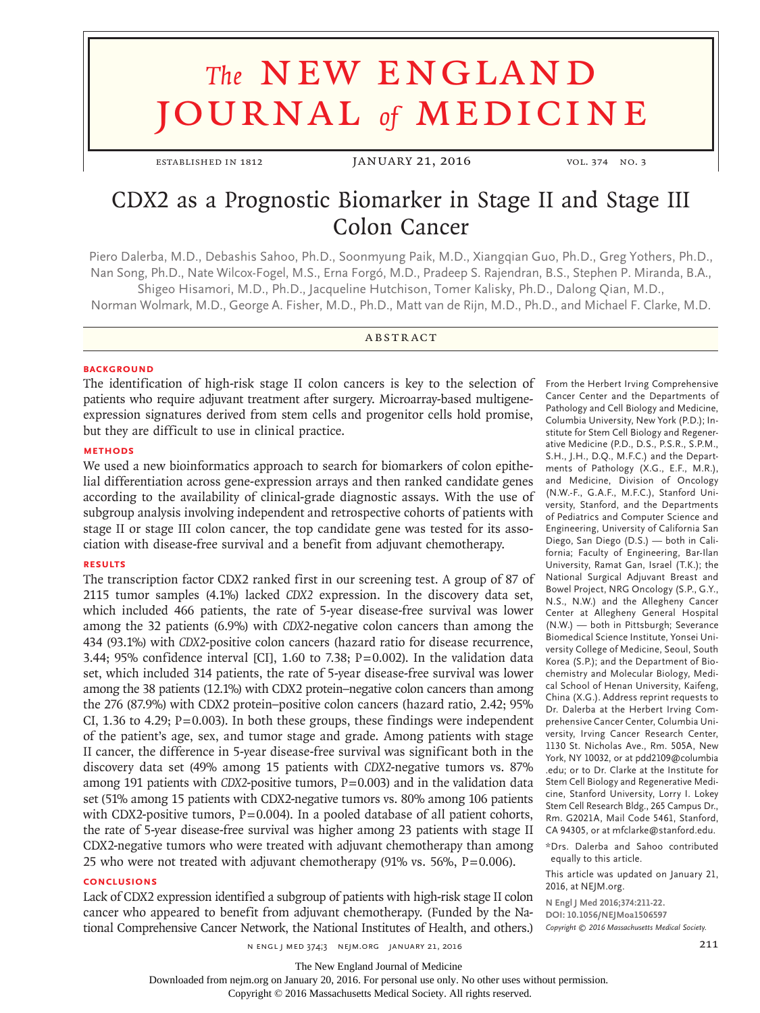# **The NEW ENGLAND** journal *of* medicine

ESTABLISHED IN 1812 JANUARY 21, 2016 VOL. 374 NO. 3

# CDX2 as a Prognostic Biomarker in Stage II and Stage III Colon Cancer

Piero Dalerba, M.D., Debashis Sahoo, Ph.D., Soonmyung Paik, M.D., Xiangqian Guo, Ph.D., Greg Yothers, Ph.D., Nan Song, Ph.D., Nate Wilcox-Fogel, M.S., Erna Forgó, M.D., Pradeep S. Rajendran, B.S., Stephen P. Miranda, B.A., Shigeo Hisamori, M.D., Ph.D., Jacqueline Hutchison, Tomer Kalisky, Ph.D., Dalong Qian, M.D.,

Norman Wolmark, M.D., George A. Fisher, M.D., Ph.D., Matt van de Rijn, M.D., Ph.D., and Michael F. Clarke, M.D.

#### **ABSTRACT**

#### **BACKGROUND**

The identification of high-risk stage II colon cancers is key to the selection of patients who require adjuvant treatment after surgery. Microarray-based multigeneexpression signatures derived from stem cells and progenitor cells hold promise, but they are difficult to use in clinical practice.

## **METHODS**

We used a new bioinformatics approach to search for biomarkers of colon epithelial differentiation across gene-expression arrays and then ranked candidate genes according to the availability of clinical-grade diagnostic assays. With the use of subgroup analysis involving independent and retrospective cohorts of patients with stage II or stage III colon cancer, the top candidate gene was tested for its association with disease-free survival and a benefit from adjuvant chemotherapy.

#### **RESULTS**

The transcription factor CDX2 ranked first in our screening test. A group of 87 of 2115 tumor samples (4.1%) lacked *CDX2* expression. In the discovery data set, which included 466 patients, the rate of 5-year disease-free survival was lower among the 32 patients (6.9%) with *CDX2*-negative colon cancers than among the 434 (93.1%) with *CDX2*-positive colon cancers (hazard ratio for disease recurrence, 3.44; 95% confidence interval [CI], 1.60 to 7.38;  $P=0.002$ ). In the validation data set, which included 314 patients, the rate of 5-year disease-free survival was lower among the 38 patients (12.1%) with CDX2 protein–negative colon cancers than among the 276 (87.9%) with CDX2 protein–positive colon cancers (hazard ratio, 2.42; 95% CI, 1.36 to 4.29;  $P=0.003$ ). In both these groups, these findings were independent of the patient's age, sex, and tumor stage and grade. Among patients with stage II cancer, the difference in 5-year disease-free survival was significant both in the discovery data set (49% among 15 patients with *CDX2*-negative tumors vs. 87% among 191 patients with *CDX2*-positive tumors,  $P=0.003$  and in the validation data set (51% among 15 patients with CDX2-negative tumors vs. 80% among 106 patients with CDX2-positive tumors, P=0.004). In a pooled database of all patient cohorts, the rate of 5-year disease-free survival was higher among 23 patients with stage II CDX2-negative tumors who were treated with adjuvant chemotherapy than among 25 who were not treated with adjuvant chemotherapy (91% vs. 56%, P=0.006).

#### **CONCLUSIONS**

Lack of CDX2 expression identified a subgroup of patients with high-risk stage II colon cancer who appeared to benefit from adjuvant chemotherapy. (Funded by the National Comprehensive Cancer Network, the National Institutes of Health, and others.)

Pathology and Cell Biology and Medicine, Columbia University, New York (P.D.); Institute for Stem Cell Biology and Regenerative Medicine (P.D., D.S., P.S.R., S.P.M., S.H., J.H., D.Q., M.F.C.) and the Departments of Pathology (X.G., E.F., M.R.), and Medicine, Division of Oncology (N.W.-F., G.A.F., M.F.C.), Stanford University, Stanford, and the Departments of Pediatrics and Computer Science and Engineering, University of California San Diego, San Diego (D.S.) — both in California; Faculty of Engineering, Bar-Ilan University, Ramat Gan, Israel (T.K.); the National Surgical Adjuvant Breast and Bowel Project, NRG Oncology (S.P., G.Y., N.S., N.W.) and the Allegheny Cancer Center at Allegheny General Hospital (N.W.) — both in Pittsburgh; Severance Biomedical Science Institute, Yonsei University College of Medicine, Seoul, South Korea (S.P.); and the Department of Biochemistry and Molecular Biology, Medical School of Henan University, Kaifeng, China (X.G.). Address reprint requests to Dr. Dalerba at the Herbert Irving Comprehensive Cancer Center, Columbia University, Irving Cancer Research Center, 1130 St. Nicholas Ave., Rm. 505A, New York, NY 10032, or at pdd2109@columbia .edu; or to Dr. Clarke at the Institute for Stem Cell Biology and Regenerative Medicine, Stanford University, Lorry I. Lokey Stem Cell Research Bldg., 265 Campus Dr., Rm. G2021A, Mail Code 5461, Stanford,

From the Herbert Irving Comprehensive Cancer Center and the Departments of

CA 94305, or at mfclarke@stanford.edu. \*Drs. Dalerba and Sahoo contributed equally to this article.

This article was updated on January 21, 2016, at NEJM.org.

**N Engl J Med 2016;374:211-22. DOI: 10.1056/NEJMoa1506597**

*Copyright © 2016 Massachusetts Medical Society.*

n engl j med 374;3 nejm.org January 21, 2016 211

Downloaded from nejm.org on January 20, 2016. For personal use only. No other uses without permission.

Copyright © 2016 Massachusetts Medical Society. All rights reserved.